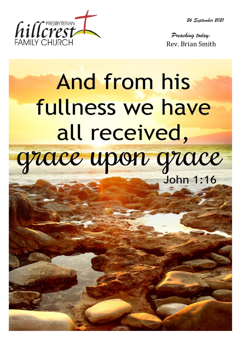*26 September 2021*



*Preaching today:* Rev. Brian Smith

# And from his fullness we have all received, grace upon grace **John 1:16**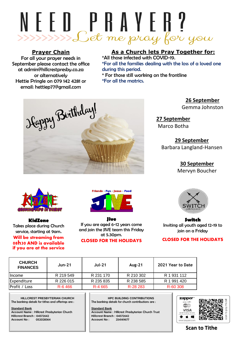## 

#### **Prayer Chain**

For all your prayer needs in September please contact the office at admin@hillcrestpresby.co.za or alternatively Hettie Pringle on 079 142 4281 or email: hettiep77@gmail.com

#### **As a Church lets Pray Together for:**

\*All those infected with COVID-19. \*For all the families dealing with the loss of a loved one during this period. \* For those still working on the frontline \*For all the matrics.



**26 September** Gemma Johnston

**27 September** Marco Botha

> **29 September** Barbara Langland-Hansen

> > **30 September** Mervyn Boucher



**KidZone** Takes place during Church service, starting at 9am.

Will be streaming from 08h30 AND is available if you are at the service



**Jive** If you are aged 6-12 years come and join the JIVE team this Friday at 5.30pm.



**Switch** Inviting all youth aged 12-19 to join on a Friday

#### CLOSED FOR THE HOLIDAYS CLOSED FOR THE HOLIDAYS

| <b>CHURCH</b><br><b>FINANCES</b> | $Jun-21$  | $Jul-21$  | Aug-21    | 2021 Year to Date |
|----------------------------------|-----------|-----------|-----------|-------------------|
| <b>Income</b>                    | R 219 549 | R 231 170 | R 210 302 | R 1 931 112       |
| Expenditure                      | R 226 015 | R 235 835 | R 238 585 | R 1 991 420       |
| Profit / Loss                    | R-6466    | R-4 665   | R-28 283  | R-60 308          |

**HILLCREST PRESBYTERIAN CHURCH** The banking details for tithes and offerings are :

**Standard Bank**

**Account Name :** Hillcrest Presbyterian Church **Hillcrest Branch :** 04572642 **Account No :** 052028364

**HPC BUILDING CONTRIBUTIONS** The banking details for church contributions are :

**Standard Bank Account Name :** Hillcrest Presbyterian Church Trust **Hillcrest Branch :** 04572642 **Account No :** 254149677



**Scan to Tithe**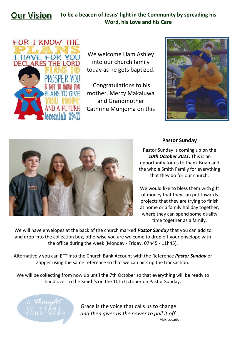### **Our Vision**

#### To be a beacon of Jesus' light in the Community by spreading his Word, his Love and his Care



We welcome Liam Ashley into our church family today as he gets baptized.

Congratulations to his mother, Mercy Makaluwa and Grandmother Cathrine Munjoma on this





#### **Pastor Sunday**

Pastor Sunday is coming up on the *10th October 2021.* This is an opportunity for us to thank Brian and the whole Smith Family for everything that they do for our church.

We would like to bless them with gift of money that they can put towards projects that they are trying to finish at home or a family holiday together, where they can spend some quality time together as a family.

We will have envelopes at the back of the church marked *Pastor Sunday* that you can add to and drop into the collection box, otherwise you are welcome to drop off your envelope with the office during the week (Monday - Friday, 07h45 - 11h45).

Alternatively you can EFT into the Church Bank Account with the Reference *Pastor Sunday* or Zapper using the same reference so that we can pick up the transaction.

We will be collecting from now up until the 7th October so that everything will be ready to hand over to the Smith's on the 10th October on Pastor Sunday.



Grace is the voice that calls us to change *and then gives us the power to pull it off.* - Max Lucado